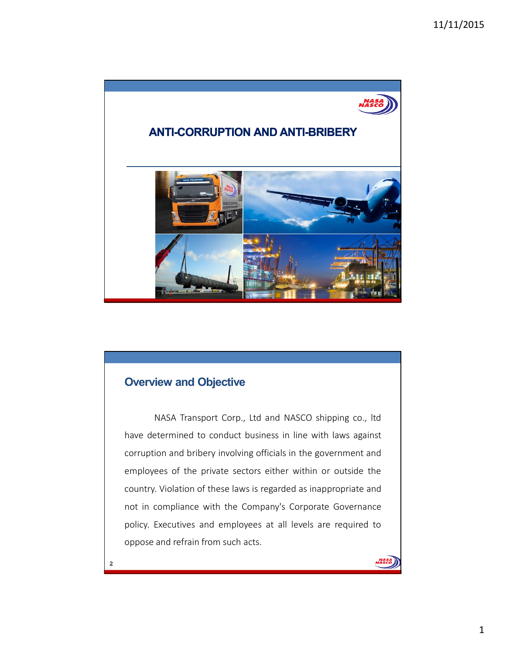

# **Overview and Objective**

NASA Transport Corp., Ltd and NASCO shipping co., ltd have determined to conduct business in line with laws against corruption and bribery involving officials in the government and employees of the private sectors either within or outside the country. Violation of these laws is regarded as inappropriate and not in compliance with the Company's Corporate Governance policy. Executives and employees at all levels are required to oppose and refrain from such acts.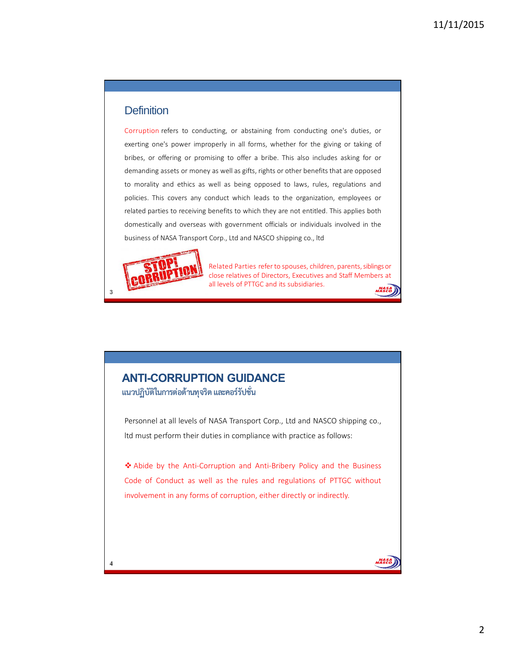### **Definition**

Corruption refers to conducting, or abstaining from conducting one's duties, or exerting one's power improperly in all forms, whether for the giving or taking of bribes, or offering or promising to offer a bribe. This also includes asking for or demanding assets or money as well as gifts, rights or other benefits that are opposed to morality and ethics as well as being opposed to laws, rules, regulations and policies. This covers any conduct which leads to the organization, employees or related parties to receiving benefits to which they are not entitled. This applies both domestically and overseas with government officials or individuals involved in the business of NASA Transport Corp., Ltd and NASCO shipping co., ltd



Related Parties refer to spouses, children, parents, siblings or close relatives of Directors, Executives and Staff Members at all levels of PTTGC and its subsidiaries.

### **ANTI-CORRUPTION GUIDANCE แนวปฏิบัติในการตอตานทุจริต และคอรรัปชั่น**

Personnel at all levels of NASA Transport Corp., Ltd and NASCO shipping co., ltd must perform their duties in compliance with practice as follows:

\* Abide by the Anti-Corruption and Anti-Bribery Policy and the Business Code of Conduct as well as the rules and regulations of PTTGC without involvement in any forms of corruption, either directly or indirectly.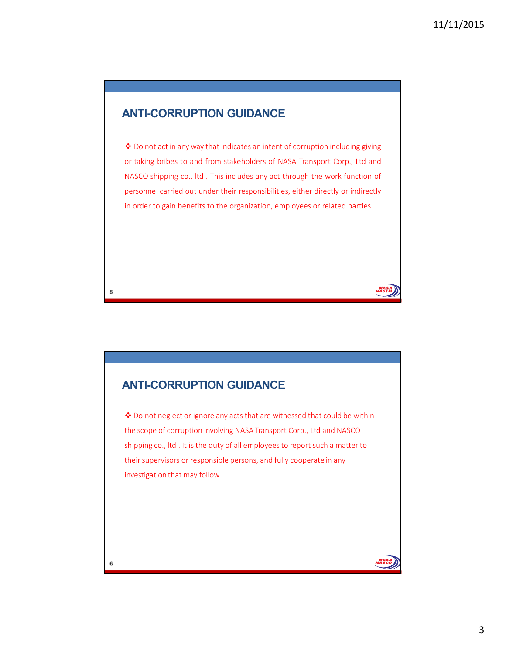## **ANTI-CORRUPTION GUIDANCE**

◆ Do not act in any way that indicates an intent of corruption including giving or taking bribes to and from stakeholders of NASA Transport Corp., Ltd and NASCO shipping co., ltd . This includes any act through the work function of personnel carried out under their responsibilities, either directly or indirectly in order to gain benefits to the organization, employees or related parties.

## **ANTI-CORRUPTION GUIDANCE**

 $\clubsuit$  Do not neglect or ignore any acts that are witnessed that could be within the scope of corruption involving NASA Transport Corp., Ltd and NASCO shipping co., ltd . It is the duty of all employees to report such a matter to their supervisors or responsible persons, and fully cooperate in any investigation that may follow

 $\bf 5$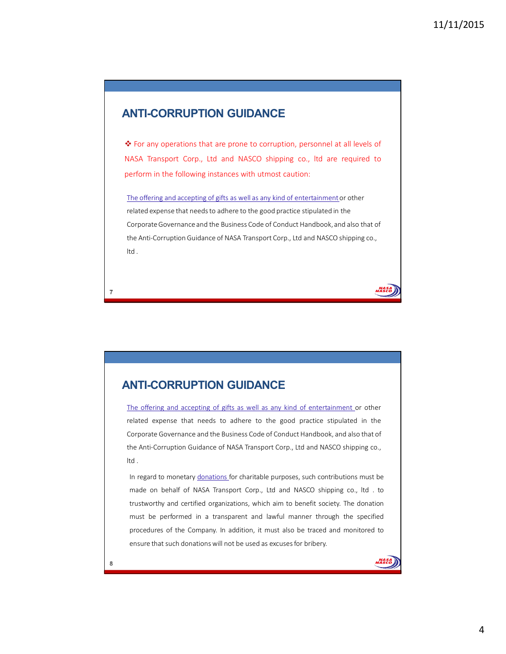### **ANTI-CORRUPTION GUIDANCE**

◆ For any operations that are prone to corruption, personnel at all levels of NASA Transport Corp., Ltd and NASCO shipping co., ltd are required to perform in the following instances with utmost caution:

The offering and accepting of gifts as well as any kind of entertainment or other related expense that needs to adhere to the good practice stipulated in the Corporate Governance and the Business Code of Conduct Handbook, and also that of the Anti-Corruption Guidance of NASA Transport Corp., Ltd and NASCO shipping co., ltd .

### **ANTI-CORRUPTION GUIDANCE**

The offering and accepting of gifts as well as any kind of entertainment or other related expense that needs to adhere to the good practice stipulated in the Corporate Governance and the Business Code of Conduct Handbook, and also that of the Anti-Corruption Guidance of NASA Transport Corp., Ltd and NASCO shipping co., ltd .

In regard to monetary donations for charitable purposes, such contributions must be made on behalf of NASA Transport Corp., Ltd and NASCO shipping co., ltd . to trustworthy and certified organizations, which aim to benefit society. The donation must be performed in a transparent and lawful manner through the specified procedures of the Company. In addition, it must also be traced and monitored to ensure that such donations will not be used as excuses for bribery.

7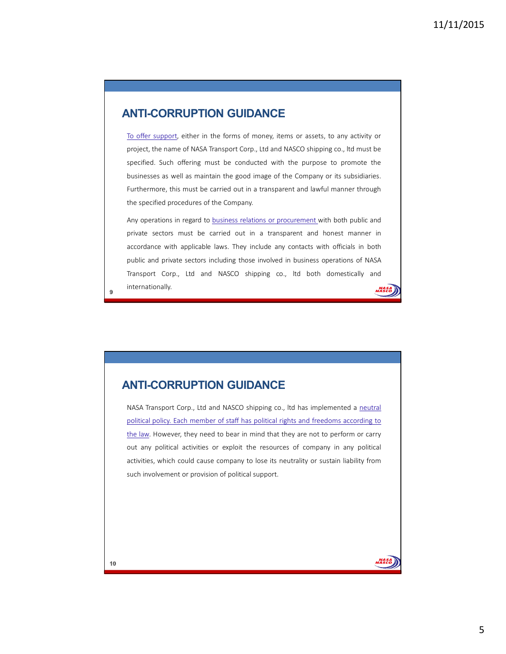## **ANTI-CORRUPTION GUIDANCE**

To offer support, either in the forms of money, items or assets, to any activity or project, the name of NASA Transport Corp., Ltd and NASCO shipping co., ltd must be specified. Such offering must be conducted with the purpose to promote the businesses as well as maintain the good image of the Company or its subsidiaries. Furthermore, this must be carried out in a transparent and lawful manner through the specified procedures of the Company.

Any operations in regard to business relations or procurement with both public and private sectors must be carried out in a transparent and honest manner in accordance with applicable laws. They include any contacts with officials in both public and private sectors including those involved in business operations of NASA Transport Corp., Ltd and NASCO shipping co., ltd both domestically and internationally. NASJ<br>NASCC

**ANTI-CORRUPTION GUIDANCE**

NASA Transport Corp., Ltd and NASCO shipping co., ltd has implemented a neutral political policy. Each member of staff has political rights and freedoms according to the law. However, they need to bear in mind that they are not to perform or carry out any political activities or exploit the resources of company in any political activities, which could cause company to lose its neutrality or sustain liability from such involvement or provision of political support.

9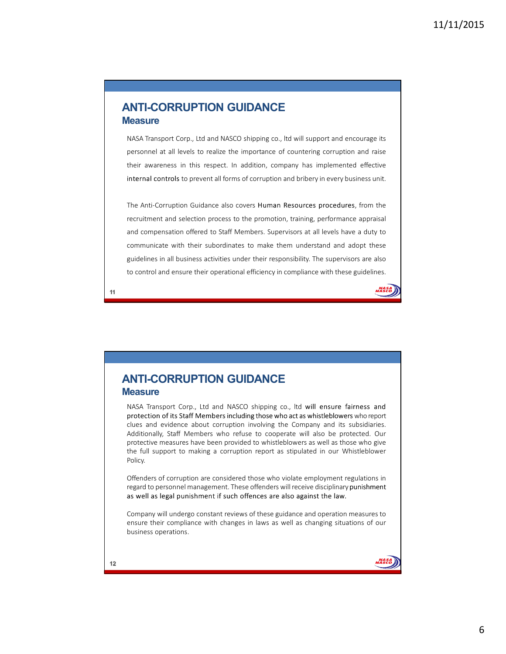### **ANTI-CORRUPTION GUIDANCE Measure**

NASA Transport Corp., Ltd and NASCO shipping co., ltd will support and encourage its personnel at all levels to realize the importance of countering corruption and raise their awareness in this respect. In addition, company has implemented effective internal controls to prevent all forms of corruption and bribery in every business unit.

The Anti-Corruption Guidance also covers Human Resources procedures, from the recruitment and selection process to the promotion, training, performance appraisal and compensation offered to Staff Members. Supervisors at all levels have a duty to communicate with their subordinates to make them understand and adopt these guidelines in all business activities under their responsibility. The supervisors are also to control and ensure their operational efficiency in compliance with these guidelines.



**ANTI-CORRUPTION GUIDANCE Measure**

NASA Transport Corp., Ltd and NASCO shipping co., ltd will ensure fairness and protection of its Staff Members including those who act as whistleblowers who report clues and evidence about corruption involving the Company and its subsidiaries. Additionally, Staff Members who refuse to cooperate will also be protected. Our protective measures have been provided to whistleblowers as well as those who give the full support to making a corruption report as stipulated in our Whistleblower Policy.

Offenders of corruption are considered those who violate employment regulations in regard to personnel management. These offenders will receive disciplinary punishment as well as legal punishment if such offences are also against the law.

Company will undergo constant reviews of these guidance and operation measures to ensure their compliance with changes in laws as well as changing situations of our business operations.

11